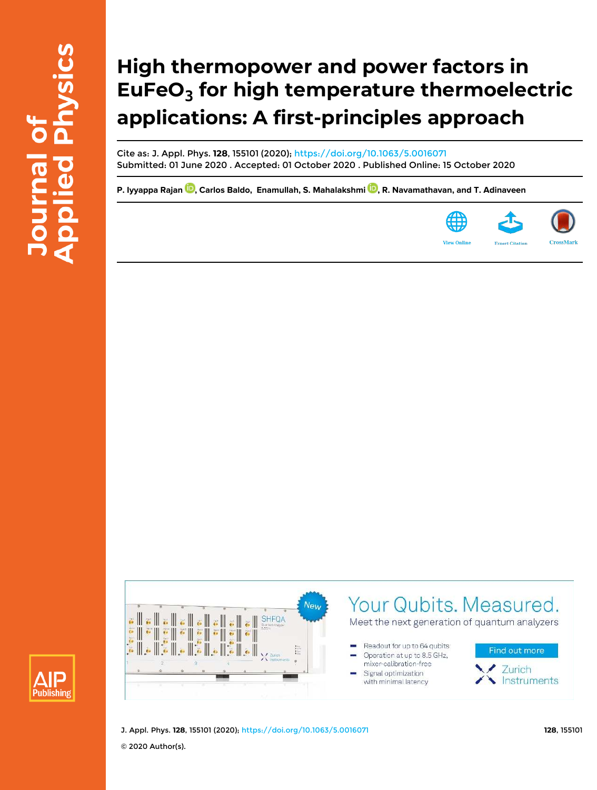# **High thermopower and power factors in EuFeO<sup>3</sup> for high temperature thermoelectric applications: A first-principles approach**

Cite as: J. Appl. Phys. **128**, 155101 (2020); https://doi.org/10.1063/5.0016071 Submitted: 01 June 2020 . Accepted: 01 October 2020 . Published Online: 15 October 2020

P. Iyyappa Rajan <sup>10</sup>, Carlos Baldo, Enamullah, S. Mahalakshmi <sup>10</sup>, R. Navamathavan, and T. Adinaveen







Your Qubits. Measured.

Meet the next generation of quantum analyzers

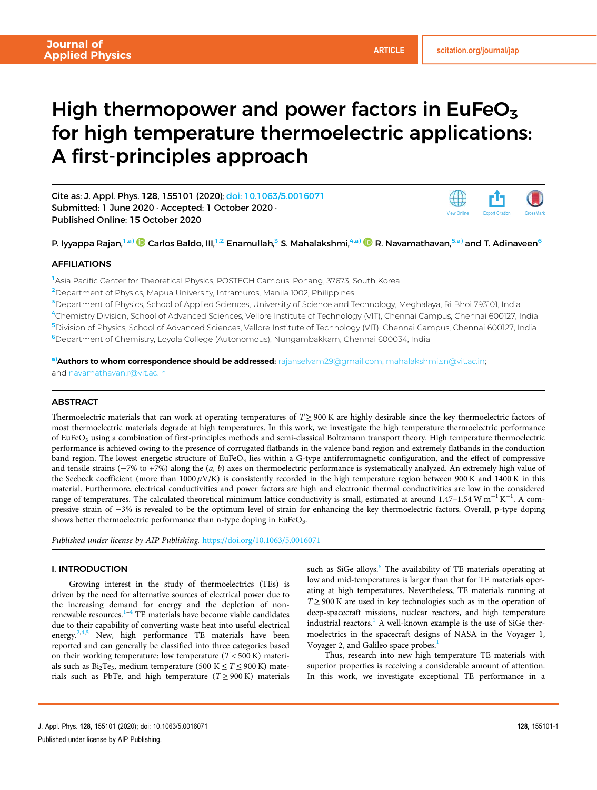View Online Export Citation CrossMark

## High thermopower and power factors in EuFeO $_3$ for high temperature thermoelectric applications: A first-principles approach

Cite as: J. Appl. Phys. 128, 155101 (2020); doi: 10.1063/5.0016071 Submitted: 1 June 2020 · Accepted: 1 October 2020 · Published Online: 15 October 2020

P. Iyyappa Rajan,<sup>1,a)</sup> © Carlos Baldo, III,<sup>1,2</sup> Enamullah,<sup>3</sup> S. Mahalakshmi,<sup>4,a)</sup> © R. Navamathavan,<sup>5,a)</sup> and T. Adinaveen<sup>6</sup>

#### AFFILIATIONS

<sup>1</sup>Asia Pacific Center for Theoretical Physics, POSTECH Campus, Pohang, 37673, South Korea

<sup>2</sup>Department of Physics, Mapua University, Intramuros, Manila 1002, Philippines

<sup>3</sup>Department of Physics, School of Applied Sciences, University of Science and Technology, Meghalaya, Ri Bhoi 793101, India

<sup>4</sup>Chemistry Division, School of Advanced Sciences, Vellore Institute of Technology (VIT), Chennai Campus, Chennai 600127, India <sup>5</sup>Division of Physics, School of Advanced Sciences, Vellore Institute of Technology (VIT), Chennai Campus, Chennai 600127, India <sup>6</sup>Department of Chemistry, Loyola College (Autonomous), Nungambakkam, Chennai 600034, India

a)Authors to whom correspondence should be addressed: rajanselvam29@gmail.com; mahalakshmi.sn@vit.ac.in; and navamathavan.r@vit.ac.in

### **ABSTRACT**

Thermoelectric materials that can work at operating temperatures of  $T \geq 900$  K are highly desirable since the key thermoelectric factors of most thermoelectric materials degrade at high temperatures. In this work, we investigate the high temperature thermoelectric performance of EuFeO<sub>3</sub> using a combination of first-principles methods and semi-classical Boltzmann transport theory. High temperature thermoelectric performance is achieved owing to the presence of corrugated flatbands in the valence band region and extremely flatbands in the conduction band region. The lowest energetic structure of EuFeO<sub>3</sub> lies within a G-type antiferromagnetic configuration, and the effect of compressive and tensile strains (−7% to +7%) along the (*a, b*) axes on thermoelectric performance is systematically analyzed. An extremely high value of the Seebeck coefficient (more than  $1000 \mu$ V/K) is consistently recorded in the high temperature region between 900 K and 1400 K in this material. Furthermore, electrical conductivities and power factors are high and electronic thermal conductivities are low in the considered range of temperatures. The calculated theoretical minimum lattice conductivity is small, estimated at around 1.47–1.54 W m<sup>-1</sup> K<sup>-1</sup>. A compressive strain of −3% is revealed to be the optimum level of strain for enhancing the key thermoelectric factors. Overall, p-type doping shows better thermoelectric performance than n-type doping in EuFeO<sub>3</sub>.

*Published under license by AIP Publishing.* https://doi.org/10.1063/5.0016071

#### I. INTRODUCTION

Growing interest in the study of thermoelectrics (TEs) is driven by the need for alternative sources of electrical power due to the increasing demand for energy and the depletion of nonrenewable resources.1–<sup>4</sup> TE materials have become viable candidates due to their capability of converting waste heat into useful electrical energy.<sup>2,4,5</sup> New, high performance TE materials have been reported and can generally be classified into three categories based on their working temperature: low temperature (*T* < 500 K) materials such as  $Bi_2Te_3$ , medium temperature (500 K  $\leq T \leq 900$  K) materials such as PbTe, and high temperature  $(T \ge 900 \text{ K})$  materials

such as SiGe alloys.<sup>6</sup> The availability of TE materials operating at low and mid-temperatures is larger than that for TE materials operating at high temperatures. Nevertheless, TE materials running at *T* ≥ 900 K are used in key technologies such as in the operation of deep-spacecraft missions, nuclear reactors, and high temperature industrial reactors.<sup>1</sup> A well-known example is the use of SiGe thermoelectrics in the spacecraft designs of NASA in the Voyager 1, Voyager 2, and Galileo space probes.<sup>1</sup>

Thus, research into new high temperature TE materials with superior properties is receiving a considerable amount of attention. In this work, we investigate exceptional TE performance in a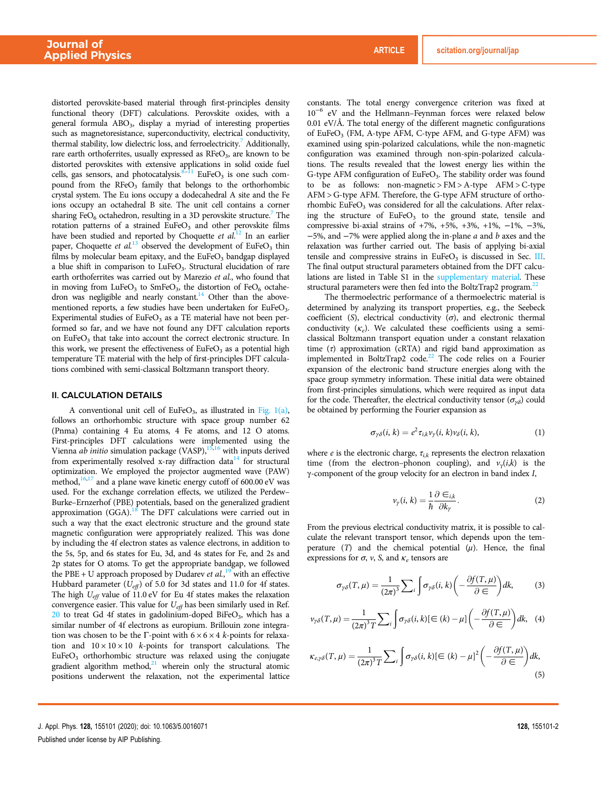distorted perovskite-based material through first-principles density functional theory (DFT) calculations. Perovskite oxides, with a general formula ABO<sub>3</sub>, display a myriad of interesting properties such as magnetoresistance, superconductivity, electrical conductivity, thermal stability, low dielectric loss, and ferroelectricity.<sup>7</sup> Additionally, rare earth orthoferrites, usually expressed as RFeO<sub>3</sub>, are known to be distorted perovskites with extensive applications in solid oxide fuel cells, gas sensors, and photocatalysis.<sup>8–11</sup> EuFeO<sub>3</sub> is one such compound from the RFeO<sub>3</sub> family that belongs to the orthorhombic crystal system. The Eu ions occupy a dodecahedral A site and the Fe ions occupy an octahedral B site. The unit cell contains a corner sharing FeO<sub>6</sub> octahedron, resulting in a 3D perovskite structure.<sup>7</sup> The rotation patterns of a strained  $EuFeO<sub>3</sub>$  and other perovskite films have been studied and reported by Choquette *et al*. <sup>12</sup> In an earlier paper, Choquette et al.<sup>13</sup> observed the development of EuFeO<sub>3</sub> thin films by molecular beam epitaxy, and the  $EuFeO<sub>3</sub>$  bandgap displayed a blue shift in comparison to LuFeO<sub>3</sub>. Structural elucidation of rare earth orthoferrites was carried out by Marezio *et al*., who found that in moving from  $LuFeO<sub>3</sub>$  to SmFeO<sub>3</sub>, the distortion of FeO<sub>6</sub> octahedron was negligible and nearly constant.<sup>14</sup> Other than the abovementioned reports, a few studies have been undertaken for EuFeO<sub>3</sub>. Experimental studies of  $EuFeO<sub>3</sub>$  as a TE material have not been performed so far, and we have not found any DFT calculation reports on EuFeO<sub>3</sub> that take into account the correct electronic structure. In this work, we present the effectiveness of  $EuFeO<sub>3</sub>$  as a potential high temperature TE material with the help of first-principles DFT calculations combined with semi-classical Boltzmann transport theory.

#### II. CALCULATION DETAILS

A conventional unit cell of  $EuFeO<sub>3</sub>$ , as illustrated in Fig. 1(a), follows an orthorhombic structure with space group number 62 (Pnma) containing 4 Eu atoms, 4 Fe atoms, and 12 O atoms. First-principles DFT calculations were implemented using the Vienna *ab initio* simulation package (VASP),<sup>15,16</sup> with inputs derived from experimentally resolved x-ray diffraction data $14$  for structural optimization. We employed the projector augmented wave (PAW) method, $16,17$  and a plane wave kinetic energy cutoff of 600.00 eV was used. For the exchange correlation effects, we utilized the Perdew– Burke–Ernzerhof (PBE) potentials, based on the generalized gradient approximation  $(GGA)$ .<sup>18</sup> The DFT calculations were carried out in such a way that the exact electronic structure and the ground state magnetic configuration were appropriately realized. This was done by including the 4f electron states as valence electrons, in addition to the 5s, 5p, and 6s states for Eu, 3d, and 4s states for Fe, and 2s and 2p states for O atoms. To get the appropriate bandgap, we followed the PBE + U approach proposed by Dudarev *et al.*<sup>19</sup> with an effective Hubbard parameter (*Ueff*) of 5.0 for 3d states and 11.0 for 4f states. The high *Ueff* value of 11.0 eV for Eu 4f states makes the relaxation convergence easier. This value for *Ueff* has been similarly used in Ref. 20 to treat Gd 4f states in gadolinium-doped BiFeO<sub>3</sub>, which has a similar number of 4f electrons as europium. Brillouin zone integration was chosen to be the Γ-point with  $6 \times 6 \times 4$  *k*-points for relaxation and  $10 \times 10 \times 10$  *k*-points for transport calculations. The  $EuFeO<sub>3</sub>$  orthorhombic structure was relaxed using the conjugate gradient algorithm method, $21$  wherein only the structural atomic positions underwent the relaxation, not the experimental lattice constants. The total energy convergence criterion was fixed at 10−<sup>6</sup> eV and the Hellmann–Feynman forces were relaxed below 0.01 eV/Å. The total energy of the different magnetic configurations of EuFeO<sub>3</sub> (FM, A-type AFM, C-type AFM, and G-type AFM) was examined using spin-polarized calculations, while the non-magnetic configuration was examined through non-spin-polarized calculations. The results revealed that the lowest energy lies within the G-type AFM configuration of EuFeO<sub>3</sub>. The stability order was found to be as follows: non-magnetic > FM > A-type AFM > C-type AFM > G-type AFM. Therefore, the G-type AFM structure of orthorhombic EuFe $O<sub>3</sub>$  was considered for all the calculations. After relaxing the structure of  $EuFeO<sub>3</sub>$  to the ground state, tensile and compressive bi-axial strains of  $+7\%$ ,  $+5\%$ ,  $+3\%$ ,  $+1\%$ ,  $-1\%$ ,  $-3\%$ , −5%, and −7% were applied along the in-plane *a* and *b* axes and the relaxation was further carried out. The basis of applying bi-axial tensile and compressive strains in  $EuFeO<sub>3</sub>$  is discussed in Sec. III. The final output structural parameters obtained from the DFT calculations are listed in Table S1 in the supplementary material. These structural parameters were then fed into the BoltzTrap2 program.<sup>22</sup>

The thermoelectric performance of a thermoelectric material is determined by analyzing its transport properties, e.g., the Seebeck coefficient ( $S$ ), electrical conductivity ( $\sigma$ ), and electronic thermal conductivity (κ*<sup>e</sup>* ). We calculated these coefficients using a semiclassical Boltzmann transport equation under a constant relaxation time  $(\tau)$  approximation (cRTA) and rigid band approximation as implemented in BoltzTrap2 code.<sup>22</sup> The code relies on a Fourier expansion of the electronic band structure energies along with the space group symmetry information. These initial data were obtained from first-principles simulations, which were required as input data for the code. Thereafter, the electrical conductivity tensor ( $\sigma_{\gamma\delta}$ ) could be obtained by performing the Fourier expansion as

$$
\sigma_{\gamma\delta}(i,k) = e^2 \tau_{i,k} \nu_{\gamma}(i,k) \nu_{\delta}(i,k), \qquad (1)
$$

where  $e$  is the electronic charge,  $\tau_{i,k}$  represents the electron relaxation time (from the electron–phonon coupling), and  $v_\gamma(i,k)$  is the γ-component of the group velocity for an electron in band index *I*,

$$
\nu_{\gamma}(i,k) = \frac{1}{\hbar} \frac{\partial \in_{i,k}}{\partial k_{\gamma}}.
$$
 (2)

From the previous electrical conductivity matrix, it is possible to calculate the relevant transport tensor, which depends upon the temperature  $(T)$  and the chemical potential  $(\mu)$ . Hence, the final expressions for  $\sigma$ ,  $\nu$ ,  $S$ , and  $\kappa_e$  tensors are

$$
\sigma_{\gamma\delta}(T,\mu) = \frac{1}{(2\pi)^3} \sum_{i} \int \sigma_{\gamma\delta}(i,k) \left( -\frac{\partial f(T,\mu)}{\partial \epsilon} \right) dk, \tag{3}
$$

$$
\nu_{\gamma\delta}(T,\mu) = \frac{1}{(2\pi)^3 T} \sum_{i} \int \sigma_{\gamma\delta}(i,k) [\in (k) - \mu] \left( -\frac{\partial f(T,\mu)}{\partial \in} \right) dk, \quad (4)
$$

$$
\kappa_{e,\gamma\delta}(T,\mu) = \frac{1}{(2\pi)^3 T} \sum_{i} \int \sigma_{\gamma\delta}(i,k) [\in (k) - \mu]^2 \left( -\frac{\partial f(T,\mu)}{\partial \in} \right) dk,
$$
\n(5)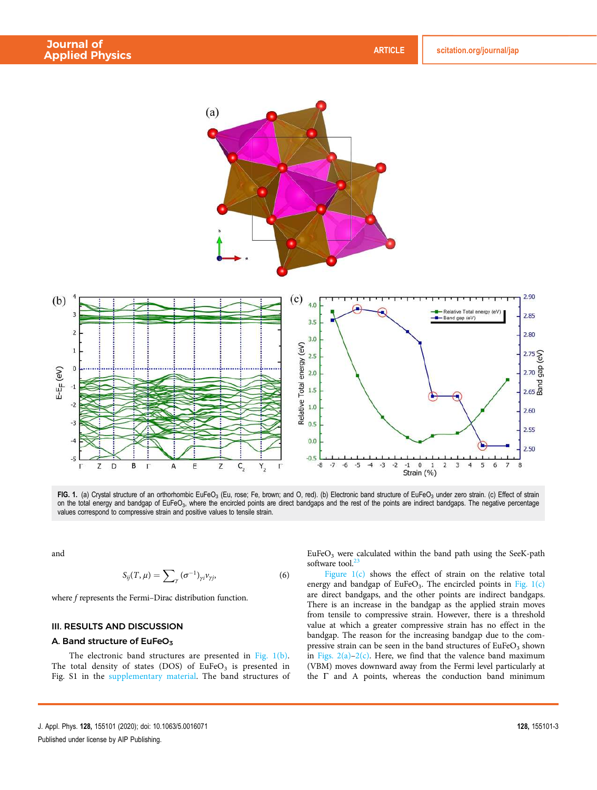

**FIG. 1.** (a) Crystal structure of an orthorhombic EuFeO $_3$  (Eu, rose; Fe, brown; and O, red). (b) Electronic band structure of EuFeO $_3$  under zero strain. (c) Effect of strain on the total energy and bandgap of EuFeO<sub>3</sub>, where the encircled points are direct bandgaps and the rest of the points are indirect bandgaps. The negative percentage values correspond to compressive strain and positive values to tensile strain.

and

$$
S_{ij}(T,\mu) = \sum_{\gamma} (\sigma^{-1})_{\gamma i} \nu_{\gamma j}, \qquad (6)
$$

where *f* represents the Fermi–Dirac distribution function.

### III. RESULTS AND DISCUSSION

#### A. Band structure of EuFeO $_3$

The electronic band structures are presented in Fig. 1(b). The total density of states (DOS) of  $EuFeO<sub>3</sub>$  is presented in Fig. S1 in the supplementary material. The band structures of  $EuFeO<sub>3</sub>$  were calculated within the band path using the SeeK-path software tool. $<sup>2</sup>$ </sup>

Figure 1(c) shows the effect of strain on the relative total energy and bandgap of EuFeO<sub>3</sub>. The encircled points in Fig. 1(c) are direct bandgaps, and the other points are indirect bandgaps. There is an increase in the bandgap as the applied strain moves from tensile to compressive strain. However, there is a threshold value at which a greater compressive strain has no effect in the bandgap. The reason for the increasing bandgap due to the compressive strain can be seen in the band structures of  $EuFeO<sub>3</sub>$  shown in Figs.  $2(a)-2(c)$ . Here, we find that the valence band maximum (VBM) moves downward away from the Fermi level particularly at the Γ and A points, whereas the conduction band minimum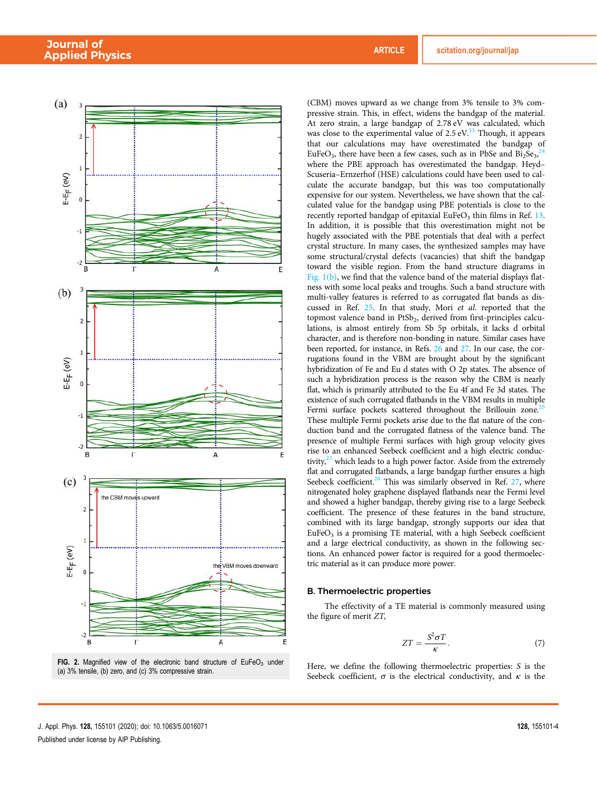

FIG. 2. Magnified view of the electronic band structure of  $EuFeO<sub>3</sub>$  under (a) 3% tensile, (b) zero, and (c) 3% compressive strain.

(CBM) moves upward as we change from 3% tensile to 3% compressive strain. This, in effect, widens the bandgap of the material. At zero strain, a large bandgap of 2.78 eV was calculated, which was close to the experimental value of  $2.5 \text{ eV}$ .<sup>13</sup> Though, it appears that our calculations may have overestimated the bandgap of EuFeO<sub>3</sub>, there have been a few cases, such as in PbSe and  $Bi_2Se_3$ <sup>24</sup> where the PBE approach has overestimated the bandgap. Heyd– Scuseria–Ernzerhof (HSE) calculations could have been used to calculate the accurate bandgap, but this was too computationally expensive for our system. Nevertheless, we have shown that the calculated value for the bandgap using PBE potentials is close to the recently reported bandgap of epitaxial EuFeO<sub>3</sub> thin films in Ref. 13. In addition, it is possible that this overestimation might not be hugely associated with the PBE potentials that deal with a perfect crystal structure. In many cases, the synthesized samples may have some structural/crystal defects (vacancies) that shift the bandgap toward the visible region. From the band structure diagrams in Fig.  $1(b)$ , we find that the valence band of the material displays flatness with some local peaks and troughs. Such a band structure with multi-valley features is referred to as corrugated flat bands as discussed in Ref. 25. In that study, Mori *et al*. reported that the topmost valence band in PtSb<sub>2</sub>, derived from first-principles calculations, is almost entirely from Sb 5p orbitals, it lacks d orbital character, and is therefore non-bonding in nature. Similar cases have been reported, for instance, in Refs. 26 and 27. In our case, the corrugations found in the VBM are brought about by the significant hybridization of Fe and Eu d states with O 2p states. The absence of such a hybridization process is the reason why the CBM is nearly flat, which is primarily attributed to the Eu 4f and Fe 3d states. The existence of such corrugated flatbands in the VBM results in multiple Fermi surface pockets scattered throughout the Brillouin zone.<sup>25</sup> These multiple Fermi pockets arise due to the flat nature of the conduction band and the corrugated flatness of the valence band. The presence of multiple Fermi surfaces with high group velocity gives rise to an enhanced Seebeck coefficient and a high electric conductivity, $25$  which leads to a high power factor. Aside from the extremely flat and corrugated flatbands, a large bandgap further ensures a high Seebeck coefficient.<sup>26</sup> This was similarly observed in Ref. 27, where nitrogenated holey graphene displayed flatbands near the Fermi level and showed a higher bandgap, thereby giving rise to a large Seebeck coefficient. The presence of these features in the band structure, combined with its large bandgap, strongly supports our idea that EuFeO<sub>3</sub> is a promising TE material, with a high Seebeck coefficient and a large electrical conductivity, as shown in the following sections. An enhanced power factor is required for a good thermoelectric material as it can produce more power.

#### B. Thermoelectric properties

The effectivity of a TE material is commonly measured using the figure of merit *ZT*,

$$
ZT = \frac{S^2 \sigma T}{\kappa}.
$$
 (7)

Here, we define the following thermoelectric properties: *S* is the Seebeck coefficient,  $\sigma$  is the electrical conductivity, and  $\kappa$  is the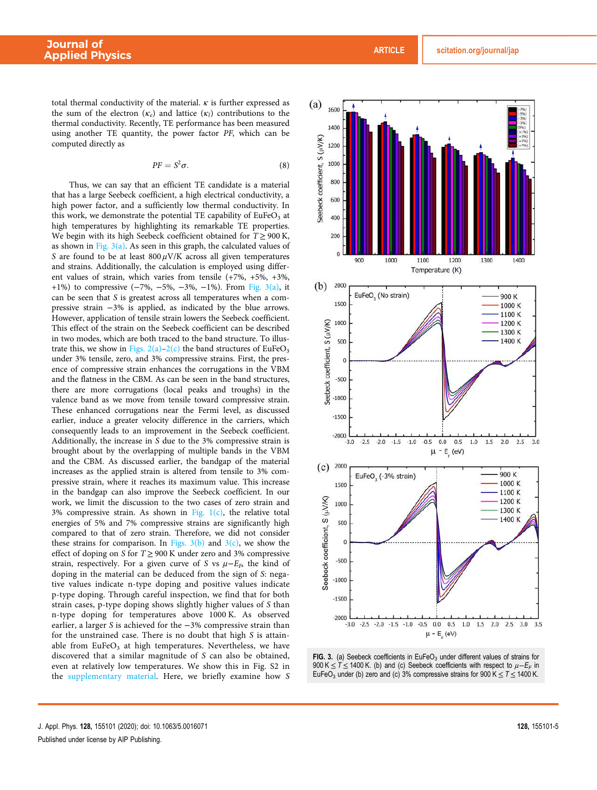total thermal conductivity of the material.  $\kappa$  is further expressed as the sum of the electron  $(\kappa_e)$  and lattice  $(\kappa_l)$  contributions to the thermal conductivity. Recently, TE performance has been measured using another TE quantity, the power factor *PF*, which can be computed directly as

$$
PF = S^2 \sigma. \tag{8}
$$

Thus, we can say that an efficient TE candidate is a material that has a large Seebeck coefficient, a high electrical conductivity, a high power factor, and a sufficiently low thermal conductivity. In this work, we demonstrate the potential TE capability of  $EuFeO<sub>3</sub>$  at high temperatures by highlighting its remarkable TE properties. We begin with its high Seebeck coefficient obtained for  $T \geq 900$  K, as shown in Fig.  $3(a)$ . As seen in this graph, the calculated values of *S* are found to be at least  $800 \mu$ V/K across all given temperatures and strains. Additionally, the calculation is employed using different values of strain, which varies from tensile (+7%, +5%, +3%, +1%) to compressive (−7%, −5%, −3%, −1%). From Fig. 3(a), it can be seen that *S* is greatest across all temperatures when a compressive strain −3% is applied, as indicated by the blue arrows. However, application of tensile strain lowers the Seebeck coefficient. This effect of the strain on the Seebeck coefficient can be described in two modes, which are both traced to the band structure. To illustrate this, we show in Figs.  $2(a)-2(c)$  the band structures of EuFeO<sub>3</sub> under 3% tensile, zero, and 3% compressive strains. First, the presence of compressive strain enhances the corrugations in the VBM and the flatness in the CBM. As can be seen in the band structures, there are more corrugations (local peaks and troughs) in the valence band as we move from tensile toward compressive strain. These enhanced corrugations near the Fermi level, as discussed earlier, induce a greater velocity difference in the carriers, which consequently leads to an improvement in the Seebeck coefficient. Additionally, the increase in *S* due to the 3% compressive strain is brought about by the overlapping of multiple bands in the VBM and the CBM. As discussed earlier, the bandgap of the material increases as the applied strain is altered from tensile to 3% compressive strain, where it reaches its maximum value. This increase in the bandgap can also improve the Seebeck coefficient. In our work, we limit the discussion to the two cases of zero strain and 3% compressive strain. As shown in Fig.  $1(c)$ , the relative total energies of 5% and 7% compressive strains are significantly high compared to that of zero strain. Therefore, we did not consider these strains for comparison. In Figs.  $3(b)$  and  $3(c)$ , we show the effect of doping on *S* for *T* ≥ 900 K under zero and 3% compressive strain, respectively. For a given curve of *S* vs μ−*EF*, the kind of doping in the material can be deduced from the sign of *S*: negative values indicate n-type doping and positive values indicate p-type doping. Through careful inspection, we find that for both strain cases, p-type doping shows slightly higher values of *S* than n-type doping for temperatures above 1000 K. As observed earlier, a larger *S* is achieved for the −3% compressive strain than for the unstrained case. There is no doubt that high *S* is attainable from  $EuFeO<sub>3</sub>$  at high temperatures. Nevertheless, we have discovered that a similar magnitude of *S* can also be obtained, even at relatively low temperatures. We show this in Fig. S2 in the supplementary material. Here, we briefly examine how *S*



FIG. 3. (a) Seebeck coefficients in EuFeO<sub>3</sub> under different values of strains for 900 K  $\leq$  T  $\leq$  1400 K. (b) and (c) Seebeck coefficients with respect to  $\mu$ -E<sub>F</sub> in EuFeO<sub>3</sub> under (b) zero and (c) 3% compressive strains for 900 K  $\leq T \leq$  1400 K.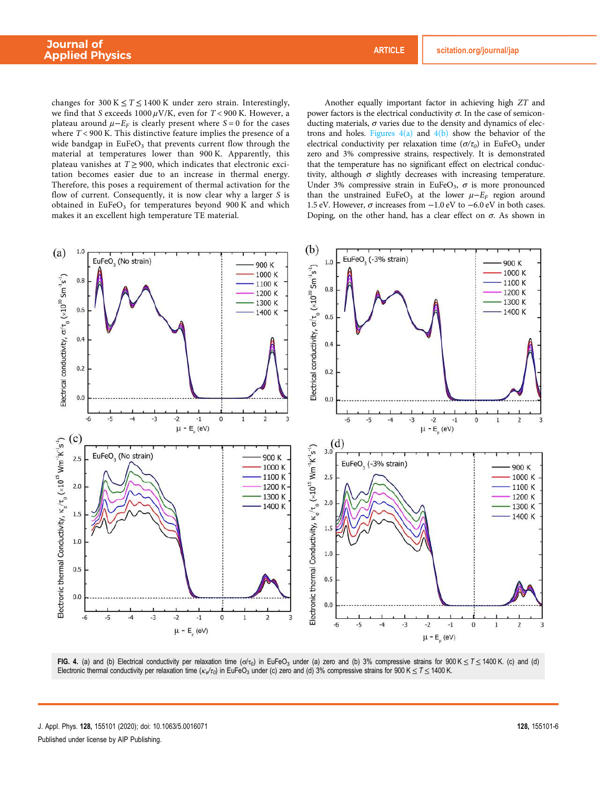changes for  $300 K \leq T \leq 1400 K$  under zero strain. Interestingly, we find that *S* exceeds 1000 μV/K, even for *T* < 900 K. However, a plateau around  $\mu - E_F$  is clearly present where *S* = 0 for the cases where *T* < 900 K. This distinctive feature implies the presence of a wide bandgap in  $EuFeO<sub>3</sub>$  that prevents current flow through the material at temperatures lower than 900 K. Apparently, this plateau vanishes at  $T \ge 900$ , which indicates that electronic excitation becomes easier due to an increase in thermal energy. Therefore, this poses a requirement of thermal activation for the flow of current. Consequently, it is now clear why a larger *S* is obtained in EuFeO<sub>3</sub> for temperatures beyond 900K and which makes it an excellent high temperature TE material.

Another equally important factor in achieving high *ZT* and power factors is the electrical conductivity  $σ$ . In the case of semiconducting materials,  $\sigma$  varies due to the density and dynamics of electrons and holes. Figures  $4(a)$  and  $4(b)$  show the behavior of the electrical conductivity per relaxation time (σ/τ<sub>0</sub>) in EuFeO<sub>3</sub> under zero and 3% compressive strains, respectively. It is demonstrated that the temperature has no significant effect on electrical conductivity, although  $\sigma$  slightly decreases with increasing temperature. Under 3% compressive strain in EuFeO<sub>3</sub>,  $\sigma$  is more pronounced than the unstrained EuFeO<sub>3</sub> at the lower  $\mu - E_F$  region around 1.5 eV. However,  $\sigma$  increases from  $-1.0$  eV to  $-6.0$  eV in both cases. Doping, on the other hand, has a clear effect on  $\sigma$ . As shown in



FIG. 4. (a) and (b) Electrical conductivity per relaxation time  $(\sigma/\tau_0)$  in EuFeO<sub>3</sub> under (a) zero and (b) 3% compressive strains for 900 K  $\leq$  T  $\leq$  1400 K. (c) and (d) Electronic thermal conductivity per relaxation time  $(\kappa_e/r_o)$  in EuFeO<sub>3</sub> under (c) zero and (d) 3% compressive strains for 900 K  $\leq$  T  $\leq$  1400 K.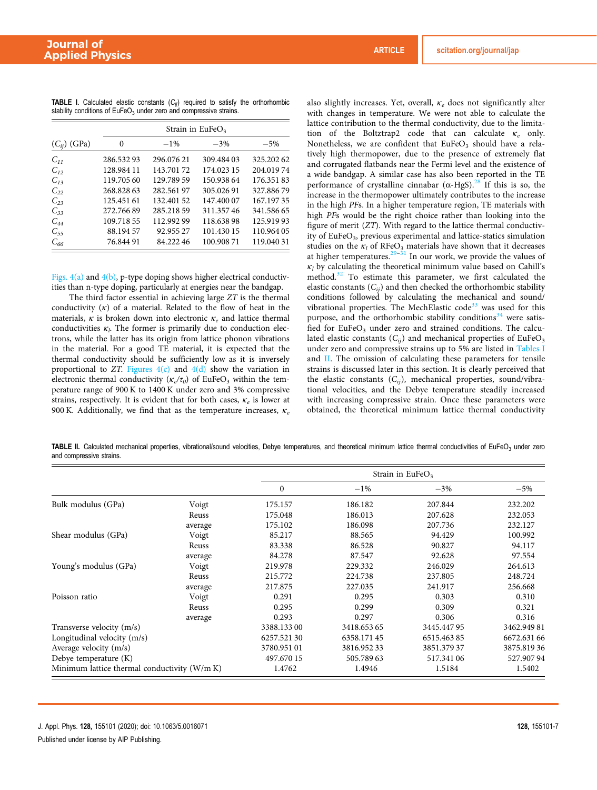|                  | Strain in EuFe $O_3$ |            |            |            |  |  |  |  |
|------------------|----------------------|------------|------------|------------|--|--|--|--|
| $(C_{ij})$ (GPa) | 0                    | $-1\%$     | $-3%$      | $-5%$      |  |  |  |  |
| $C_{11}$         | 286.53293            | 296.07621  | 309.484 03 | 325.20262  |  |  |  |  |
| $C_{12}$         | 128.984 11           | 143.70172  | 174.023 15 | 204.01974  |  |  |  |  |
| $C_{13}$         | 119.705 60           | 129.789.59 | 150.938.64 | 176.35183  |  |  |  |  |
| $C_{22}$         | 268.828 63           | 282.56197  | 305.02691  | 327.88679  |  |  |  |  |
| $C_{23}$         | 125.451 61           | 132.401.52 | 147.400.07 | 167.19735  |  |  |  |  |
| $C_{33}$         | 272.76689            | 285.218.59 | 311.35746  | 341.586.65 |  |  |  |  |
| $C_{44}$         | 109.718.55           | 112.992 99 | 118.63898  | 125.91993  |  |  |  |  |
| $C_{55}$         | 88.194.57            | 92.955 27  | 101.430 15 | 110.964 05 |  |  |  |  |
| $C_{66}$         | 76.844 91            | 84.22246   | 100.90871  | 119.04031  |  |  |  |  |

**TABLE I.** Calculated elastic constants  $(C_{ij})$  required to satisfy the orthorhombic stability conditions of  $EuFeO<sub>3</sub>$  under zero and compressive strains.

Figs.  $4(a)$  and  $4(b)$ , p-type doping shows higher electrical conductivities than n-type doping, particularly at energies near the bandgap.

The third factor essential in achieving large *ZT* is the thermal conductivity  $(\kappa)$  of a material. Related to the flow of heat in the materials, κ is broken down into electronic κ*<sup>e</sup>* and lattice thermal conductivities κ*<sup>l</sup>* . The former is primarily due to conduction electrons, while the latter has its origin from lattice phonon vibrations in the material. For a good TE material, it is expected that the thermal conductivity should be sufficiently low as it is inversely proportional to  $ZT$ . Figures  $4(c)$  and  $4(d)$  show the variation in electronic thermal conductivity ( $\kappa_e/\tau_o$ ) of EuFeO<sub>3</sub> within the temperature range of 900 K to 1400 K under zero and 3% compressive strains, respectively. It is evident that for both cases, κ*<sup>e</sup>* is lower at 900 K. Additionally, we find that as the temperature increases, κ*<sup>e</sup>* also slightly increases. Yet, overall, κ*<sup>e</sup>* does not significantly alter with changes in temperature. We were not able to calculate the lattice contribution to the thermal conductivity, due to the limitation of the Boltztrap2 code that can calculate κ*<sup>e</sup>* only. Nonetheless, we are confident that  $EuFeO<sub>3</sub>$  should have a relatively high thermopower, due to the presence of extremely flat and corrugated flatbands near the Fermi level and the existence of a wide bandgap. A similar case has also been reported in the TE performance of crystalline cinnabar ( $\alpha$ -HgS).<sup>28</sup> If this is so, the increase in the thermopower ultimately contributes to the increase in the high *PF*s. In a higher temperature region, TE materials with high *PF*s would be the right choice rather than looking into the figure of merit (*ZT*). With regard to the lattice thermal conductivity of EuFeO<sub>3</sub>, previous experimental and lattice-statics simulation studies on the  $\kappa_l$  of RFeO<sub>3</sub> materials have shown that it decreases at higher temperatures.<sup>29–31</sup> In our work, we provide the values of  $\kappa_l$  by calculating the theoretical minimum value based on Cahill's method.<sup>32</sup> To estimate this parameter, we first calculated the elastic constants  $(C_{ii})$  and then checked the orthorhombic stability conditions followed by calculating the mechanical and sound/ vibrational properties. The MechElastic code<sup>33</sup> was used for this purpose, and the orthorhombic stability conditions<sup>34</sup> were satisfied for EuFeO<sub>3</sub> under zero and strained conditions. The calculated elastic constants  $(C_{ii})$  and mechanical properties of EuFeO<sub>3</sub> under zero and compressive strains up to 5% are listed in Tables I and II. The omission of calculating these parameters for tensile strains is discussed later in this section. It is clearly perceived that the elastic constants (*Cij*), mechanical properties, sound/vibrational velocities, and the Debye temperature steadily increased with increasing compressive strain. Once these parameters were obtained, the theoretical minimum lattice thermal conductivity

TABLE II. Calculated mechanical properties, vibrational/sound velocities, Debye temperatures, and theoretical minimum lattice thermal conductivities of EuFeO<sub>3</sub> under zero and compressive strains.

|                                              |         | Strain in EuFe $O_3$ |             |            |             |  |
|----------------------------------------------|---------|----------------------|-------------|------------|-------------|--|
|                                              |         | $\mathbf{0}$         | $-1\%$      | $-3\%$     | $-5%$       |  |
| Bulk modulus (GPa)                           | Voigt   | 175.157              | 186.182     | 207.844    | 232.202     |  |
|                                              | Reuss   | 175.048              | 186.013     | 207.628    | 232.053     |  |
|                                              | average | 175.102              | 186.098     | 207.736    | 232.127     |  |
| Shear modulus (GPa)                          | Voigt   | 85.217               | 88.565      | 94.429     | 100.992     |  |
|                                              | Reuss   | 83.338               | 86.528      | 90.827     | 94.117      |  |
|                                              | average | 84.278               | 87.547      | 92.628     | 97.554      |  |
| Young's modulus (GPa)                        | Voigt   | 219.978              | 229.332     | 246.029    | 264.613     |  |
|                                              | Reuss   | 215.772              | 224.738     | 237.805    | 248.724     |  |
|                                              | average | 217.875              | 227.035     | 241.917    | 256.668     |  |
| Poisson ratio                                | Voigt   | 0.291                | 0.295       | 0.303      | 0.310       |  |
|                                              | Reuss   | 0.295                | 0.299       | 0.309      | 0.321       |  |
|                                              | average | 0.293                | 0.297       | 0.306      | 0.316       |  |
| Transverse velocity (m/s)                    |         | 3388.13300           | 3418.653 65 | 3445.44795 | 3462.94981  |  |
| Longitudinal velocity (m/s)                  |         | 6257.52130           | 6358.17145  | 6515.46385 | 6672.631 66 |  |
| Average velocity (m/s)                       |         | 3780.95101           | 3816.95233  | 3851.37937 | 3875.81936  |  |
| Debye temperature (K)                        |         | 497.670 15           | 505.78963   | 517.341 06 | 527.90794   |  |
| Minimum lattice thermal conductivity (W/m K) |         | 1.4762               | 1.4946      | 1.5184     | 1.5402      |  |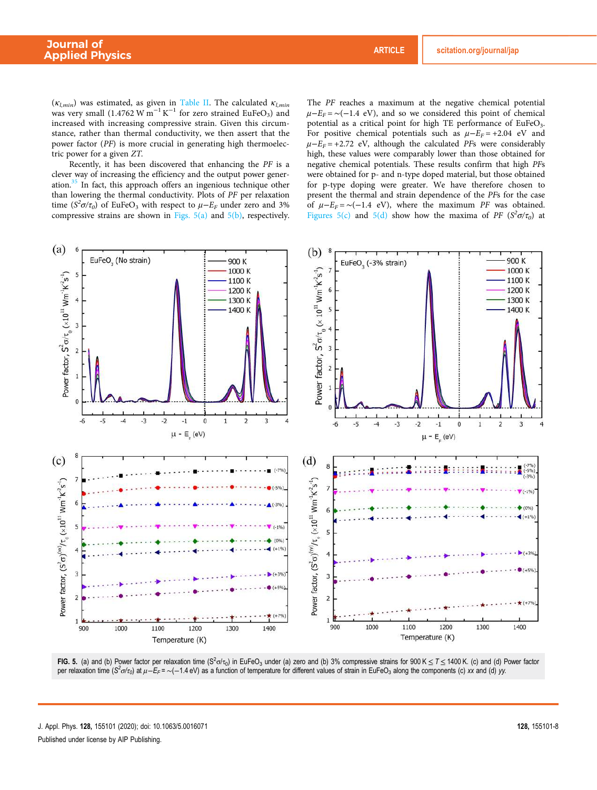(κ*l,min*) was estimated, as given in Table II. The calculated κ*l,min* was very small  $(1.4762 \text{ W m}^{-1} \text{K}^{-1}$  for zero strained EuFeO<sub>3</sub>) and increased with increasing compressive strain. Given this circumstance, rather than thermal conductivity, we then assert that the power factor (*PF*) is more crucial in generating high thermoelectric power for a given *ZT*.

Recently, it has been discovered that enhancing the *PF* is a clever way of increasing the efficiency and the output power generation. $35$  In fact, this approach offers an ingenious technique other than lowering the thermal conductivity. Plots of *PF* per relaxation time  $(S^2 \sigma / \tau_0)$  of EuFeO<sub>3</sub> with respect to  $\mu - E_F$  under zero and 3% compressive strains are shown in Figs.  $5(a)$  and  $5(b)$ , respectively.

The *PF* reaches a maximum at the negative chemical potential  $\mu$ −*E<sub>F</sub>* = ~(−1.4 eV), and so we considered this point of chemical potential as a critical point for high TE performance of EuFeO<sub>3</sub>. For positive chemical potentials such as  $\mu - E_F = +2.04$  eV and  $\mu$ <sup>-*E<sub>F</sub>* = +2.72 eV, although the calculated *PFs* were considerably</sup> high, these values were comparably lower than those obtained for negative chemical potentials. These results confirm that high *PF*s were obtained for p- and n-type doped material, but those obtained for p-type doping were greater. We have therefore chosen to present the thermal and strain dependence of the *PF*s for the case of  $\mu - E_F = \sim (-1.4 \text{ eV})$ , where the maximum *PF* was obtained. Figures 5(c) and 5(d) show how the maxima of *PF* ( $S^2\sigma/\tau_0$ ) at



FIG. 5. (a) and (b) Power factor per relaxation time (S<sup>2</sup>o/ $\tau_0$ ) in EuFeO<sub>3</sub> under (a) zero and (b) 3% compressive strains for 900 K  $\leq$  T  $\leq$  1400 K. (c) and (d) Power factor per relaxation time (S<sup>2</sup>ơ/τ<sub>0</sub>) at μ−E<sub>F</sub> = ∼(−1.4 eV) as a function of temperature for different values of strain in EuFeO<sub>3</sub> along the components (c) xx and (d) yy.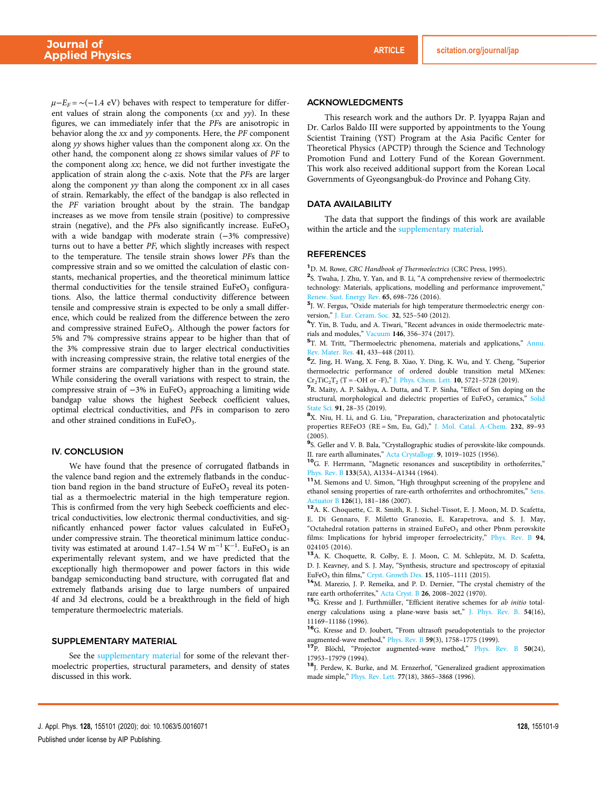$\mu$ −*E<sub>F</sub>* = ~(−1.4 eV) behaves with respect to temperature for different values of strain along the components (*xx* and *yy*). In these figures, we can immediately infer that the *PF*s are anisotropic in behavior along the *xx* and *yy* components. Here, the *PF* component along *yy* shows higher values than the component along *xx*. On the other hand, the component along *zz* shows similar values of *PF* to the component along *xx*; hence, we did not further investigate the application of strain along the c-axis. Note that the *PF*s are larger along the component *yy* than along the component *xx* in all cases of strain. Remarkably, the effect of the bandgap is also reflected in the *PF* variation brought about by the strain. The bandgap increases as we move from tensile strain (positive) to compressive strain (negative), and the *PFs* also significantly increase. EuFeO<sub>3</sub> with a wide bandgap with moderate strain (−3% compressive) turns out to have a better *PF*, which slightly increases with respect to the temperature. The tensile strain shows lower *PF*s than the compressive strain and so we omitted the calculation of elastic constants, mechanical properties, and the theoretical minimum lattice thermal conductivities for the tensile strained  $EuFeO<sub>3</sub>$  configurations. Also, the lattice thermal conductivity difference between tensile and compressive strain is expected to be only a small difference, which could be realized from the difference between the zero and compressive strained EuFeO<sub>3</sub>. Although the power factors for 5% and 7% compressive strains appear to be higher than that of the 3% compressive strain due to larger electrical conductivities with increasing compressive strain, the relative total energies of the former strains are comparatively higher than in the ground state. While considering the overall variations with respect to strain, the compressive strain of  $-3\%$  in EuFeO<sub>3</sub> approaching a limiting wide bandgap value shows the highest Seebeck coefficient values, optimal electrical conductivities, and *PF*s in comparison to zero and other strained conditions in  $EuFeO<sub>3</sub>$ .

#### IV. CONCLUSION

We have found that the presence of corrugated flatbands in the valence band region and the extremely flatbands in the conduction band region in the band structure of  $EuFeO<sub>3</sub>$  reveal its potential as a thermoelectric material in the high temperature region. This is confirmed from the very high Seebeck coefficients and electrical conductivities, low electronic thermal conductivities, and significantly enhanced power factor values calculated in  $EuFeO<sub>3</sub>$ under compressive strain. The theoretical minimum lattice conductivity was estimated at around 1.47–1.54 W m<sup>-1</sup> K<sup>-1</sup>. EuFeO<sub>3</sub> is an experimentally relevant system, and we have predicted that the exceptionally high thermopower and power factors in this wide bandgap semiconducting band structure, with corrugated flat and extremely flatbands arising due to large numbers of unpaired 4f and 3d electrons, could be a breakthrough in the field of high temperature thermoelectric materials.

#### SUPPLEMENTARY MATERIAL

See the supplementary material for some of the relevant thermoelectric properties, structural parameters, and density of states discussed in this work.

#### ACKNOWLEDGMENTS

This research work and the authors Dr. P. Iyyappa Rajan and Dr. Carlos Baldo III were supported by appointments to the Young Scientist Training (YST) Program at the Asia Pacific Center for Theoretical Physics (APCTP) through the Science and Technology Promotion Fund and Lottery Fund of the Korean Government. This work also received additional support from the Korean Local Governments of Gyeongsangbuk-do Province and Pohang City.

#### DATA AVAILABILITY

The data that support the findings of this work are available within the article and the supplementary material.

#### **REFERENCES**

<sup>1</sup>D. M. Rowe, *CRC Handbook of Thermoelectrics* (CRC Press, 1995).

<sup>2</sup>S. Twaha, J. Zhu, Y. Yan, and B. Li, "A comprehensive review of thermoelectric technology: Materials, applications, modelling and performance improvement," Renew. Sust. Energy Rev. 65, 698–726 (2016).

<sup>3</sup>J. W. Fergus, "Oxide materials for high temperature thermoelectric energy conversion," J. Eur. Ceram. Soc. 32, 525–540 (2012).

<sup>4</sup>Y. Yin, B. Tudu, and A. Tiwari, "Recent advances in oxide thermoelectric materials and modules," Vacuum 146, 356–374 (2017).

<sup>5</sup>T. M. Tritt, "Thermoelectric phenomena, materials and applications," Annu. Rev. Mater. Res. 41, 433-448 (2011).

6 Z. Jing, H. Wang, X. Feng, B. Xiao, Y. Ding, K. Wu, and Y. Cheng, "Superior thermoelectric performance of ordered double transition metal MXenes:  $Cr_2TiC_2T_2$  (T = -OH or -F)," J. Phys. Chem. Lett. 10, 5721-5728 (2019).

7 R. Maity, A. P. Sakhya, A. Dutta, and T. P. Sinha, "Effect of Sm doping on the structural, morphological and dielectric properties of EuFeO<sub>3</sub> ceramics," Solid State Sci. 91, 28–35 (2019).

<sup>8</sup>X. Niu, H. Li, and G. Liu, "Preparation, characterization and photocatalytic properties REFeO3 (RE = Sm, Eu, Gd)," J. Mol. Catal. A-Chem. 232, 89–93 (2005).

<sup>9</sup>S. Geller and V. B. Bala, "Crystallographic studies of perovskite-like compounds. II. rare earth alluminates," Acta Crystallogr. 9, 1019–1025 (1956).

<sup>10</sup>G. F. Herrmann, "Magnetic resonances and susceptibility in orthoferrites," Phys. Rev. B 133(5A), A1334–A1344 (1964).

<sup>11</sup>M. Siemons and U. Simon, "High throughput screening of the propylene and ethanol sensing properties of rare-earth orthoferrites and orthochromites," Sens. Actuator B 126(1), 181–186 (2007).

<sup>12</sup>A. K. Choquette, C. R. Smith, R. J. Sichel-Tissot, E. J. Moon, M. D. Scafetta, E. Di Gennaro, F. Miletto Granozio, E. Karapetrova, and S. J. May, "Octahedral rotation patterns in strained  $EuFeO<sub>3</sub>$  and other Pbnm perovskite films: Implications for hybrid improper ferroelectricity," Phys. Rev. B 94, 024105 (2016).

<sup>13</sup>A. K. Choquette, R. Colby, E. J. Moon, C. M. Schlepütz, M. D. Scafetta, D. J. Keavney, and S. J. May, "Synthesis, structure and spectroscopy of epitaxial EuFeO<sub>3</sub> thin films," Cryst. Growth Des. 15, 1105-1111 (2015).

<sup>14</sup>M. Marezio, J. P. Remeika, and P. D. Dernier, "The crystal chemistry of the rare earth orthoferrites," Acta Cryst. B 26, 2008–2022 (1970).

<sup>15</sup>G. Kresse and J. Furthmüller, "Efficient iterative schemes for *ab initio* totalenergy calculations using a plane-wave basis set," J. Phys. Rev. B. 54(16), 11169–11186 (1996).

<sup>16</sup>G. Kresse and D. Joubert, "From ultrasoft pseudopotentials to the projector augmented-wave method," Phys. Rev. B 59(3), 1758–1775 (1999).

<sup>17</sup>P. Blöchl, "Projector augmented-wave method," Phys. Rev. B 50(24), 17953–17979 (1994).

<sup>18</sup>J. Perdew, K. Burke, and M. Ernzerhof, "Generalized gradient approximation made simple," Phys. Rev. Lett. 77(18), 3865–3868 (1996).